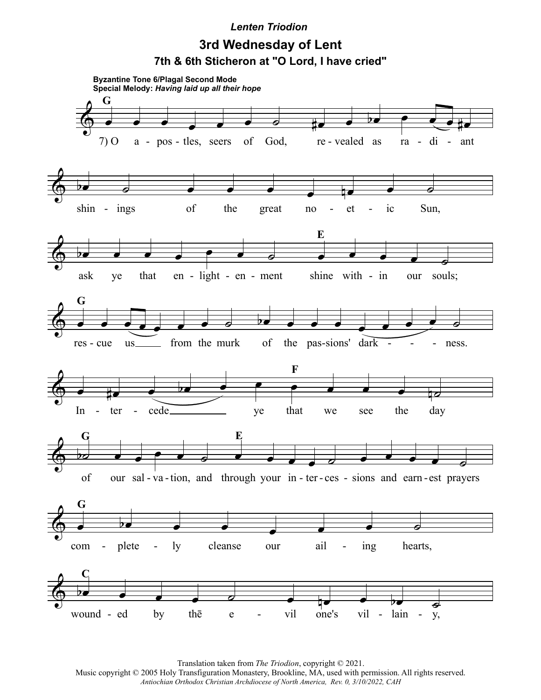## *Lenten Triodion*

## **3rd Wednesday of Lent 7th & 6th Sticheron at "O Lord, I have cried"**



Translation taken from *The Triodion*, copyright © 2021.

Music copyright © 2005 Holy Transfiguration Monastery, Brookline, MA, used with permission. All rights reserved. *Antiochian Orthodox Christian Archdiocese of North America, Rev. 0, 3/10/2022, CAH*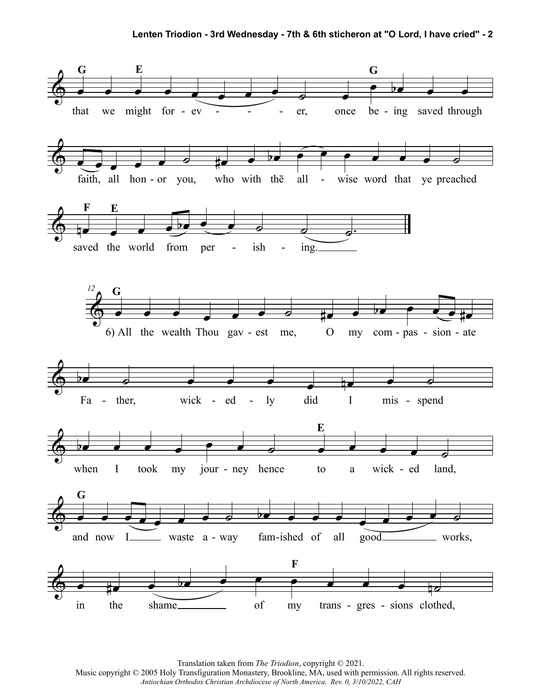

Translation taken from *The Triodion*, copyright © 2021. Music copyright © 2005 Holy Transfiguration Monastery, Brookline, MA, used with permission. All rights reserved. *Antiochian Orthodox Christian Archdiocese of North America, Rev. 0, 3/10/2022, CAH*